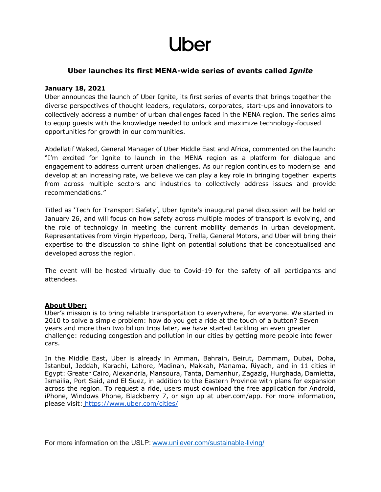## Uber

### **Uber launches its first MENA-wide series of events called** *Ignite*

#### **January 18, 2021**

Uber announces the launch of Uber Ignite, its first series of events that brings together the diverse perspectives of thought leaders, regulators, corporates, start-ups and innovators to collectively address a number of urban challenges faced in the MENA region. The series aims to equip guests with the knowledge needed to unlock and maximize technology-focused opportunities for growth in our communities.

Abdellatif Waked, General Manager of Uber Middle East and Africa, commented on the launch: "I'm excited for Ignite to launch in the MENA region as a platform for dialogue and engagement to address current urban challenges. As our region continues to modernise and develop at an increasing rate, we believe we can play a key role in bringing together experts from across multiple sectors and industries to collectively address issues and provide recommendations."

Titled as 'Tech for Transport Safety', Uber Ignite's inaugural panel discussion will be held on January 26, and will focus on how safety across multiple modes of transport is evolving, and the role of technology in meeting the current mobility demands in urban development. Representatives from Virgin Hyperloop, Derq, Trella, General Motors, and Uber will bring their expertise to the discussion to shine light on potential solutions that be conceptualised and developed across the region.

The event will be hosted virtually due to Covid-19 for the safety of all participants and attendees.

#### **About Uber:**

Uber's mission is to bring reliable transportation to everywhere, for everyone. We started in 2010 to solve a simple problem: how do you get a ride at the touch of a button? Seven years and more than two billion trips later, we have started tackling an even greater challenge: reducing congestion and pollution in our cities by getting more people into fewer cars.

In the Middle East, Uber is already in Amman, Bahrain, Beirut, Dammam, Dubai, Doha, Istanbul, Jeddah, Karachi, Lahore, Madinah, Makkah, Manama, Riyadh, and in 11 cities in Egypt: Greater Cairo, Alexandria, Mansoura, Tanta, Damanhur, Zagazig, Hurghada, Damietta, Ismailia, Port Said, and El Suez, in addition to the Eastern Province with plans for expansion across the region. To request a ride, users must download the free application for Android, iPhone, Windows Phone, Blackberry 7, or sign up at uber.com/app. For more information, please visit: <https://www.uber.com/cities/>

For more information on the USLP:[www.unilever.com/sustainable-living/](https://eur01.safelinks.protection.outlook.com/?url=https%3A%2F%2Furldefense.com%2Fv3%2F__https%3A%2Feur01.safelinks.protection.outlook.com%2F%3Furl%3Dhttps*3A*2F*2Furldefense.com*2Fv3*2F__https*3A*2Feur01.safelinks.protection.outlook.com*2F*3Furl*3Dhttps*3A*2F*2Furldefense.com*2Fv3*2F__http*3A*2F*2Fwww.unilever.com*2Fsustainable-living*2F__*3B!!N96JrnIq8IfO5w!y_CiGa6T0cnwMdBHK2JqdMCqROaKHsxSjbzinnlbeUmOHq-h-pKH9CWYemd0FSdpt3eYZRDY*24*26data*3D02*7C01*7CZeina.Elkouka*40unilever.com*7Cae3885a9306849fed4de08d8604771ef*7Cf66fae025d36495bbfe078a6ff9f8e6e*7C1*7C0*7C637365207254243123*26sdata*3Dy*2BEJZAmB8HC*2FS*2FZv3IW4kVk43S7yl0*2FeWAhyIiur9GY*3D*26reserved*3D0__*3BJSUlJSUlJSUlJSUlJSUlJSUlJSUlJSUlJQ!!N96JrnIq8IfO5w!10ouDPlB9fnPJhXrqtHhkoI_mLC_1cutXdnVBkQFInDSzyvHv3an9TF_AYBv8OI_t8j4GymM*24%26data%3D02*7C01*7CMaryam.Minhas*40unilever.com*7Ca4f736ed8123478fa4e308d86246c2f6*7Cf66fae025d36495bbfe078a6ff9f8e6e*7C1*7C0*7C637367403351310285%26sdata%3DCK9E3A6wZ13gmz0BziapG1eHb1PsgpTsaJ1LQNOfU04*3D%26reserved%3D0__%3BJSUlJSUlJSUlJSoqKioqKioqKioqKiUlKioqKioqKiolJSoqKioqJSUlJSUlJSUlJSUlJQ!!N96JrnIq8IfO5w!2IUCywzZY8rOwFUlmZ0drelPs4fWAYtmENnFhmIwwhmhuTxQYGOStOpQyLJxa0HcBfaIjg%24&data=02%7C01%7CMaryam.Minhas%40unilever.com%7C0030eb4d176344f609c008d862b34fe8%7Cf66fae025d36495bbfe078a6ff9f8e6e%7C1%7C0%7C637367869602110537&sdata=AB5Y2CCXyIZai1XRWfjonJa8wkRXYfYRUboArtKsESo%3D&reserved=0)